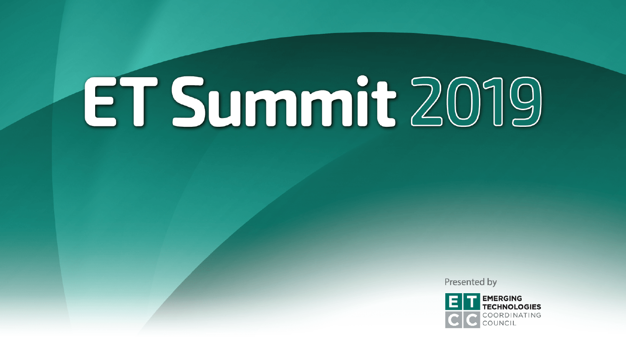Presented by

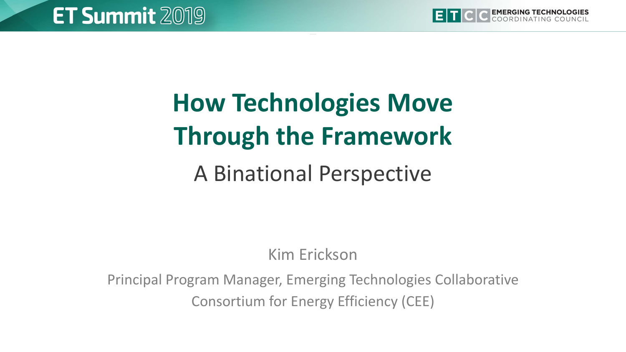

## **How Technologies Move Through the Framework**

#### A Binational Perspective

Kim Erickson

Principal Program Manager, Emerging Technologies Collaborative Consortium for Energy Efficiency (CEE)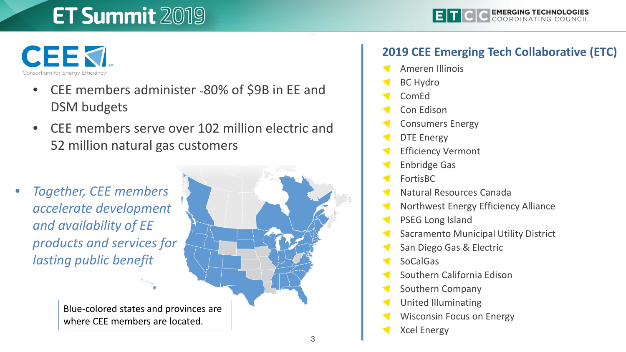

- CEE members administer ˜80% of \$9B in EE and DSM budgets
- CEE members serve over 102 million electric and 52 million natural gas customers
- *Together, CEE members accelerate development and availability of EE products and services for lasting public benefit*

Blue-colored states and provinces are where CEE members are located.

#### **2019 CEE Emerging Tech Collaborative (ETC)**

- Ameren Illinois
- BC Hydro
- ComEd
- Con Edison
- Consumers Energy
- DTE Energy
- Efficiency Vermont
- Enbridge Gas
- FortisBC
- Natural Resources Canada
- Northwest Energy Efficiency Alliance
- PSEG Long Island
- Sacramento Municipal Utility District
- San Diego Gas & Electric
- SoCalGas
- Southern California Edison
- Southern Company
- United Illuminating
- Wisconsin Focus on Energy
- Xcel Energy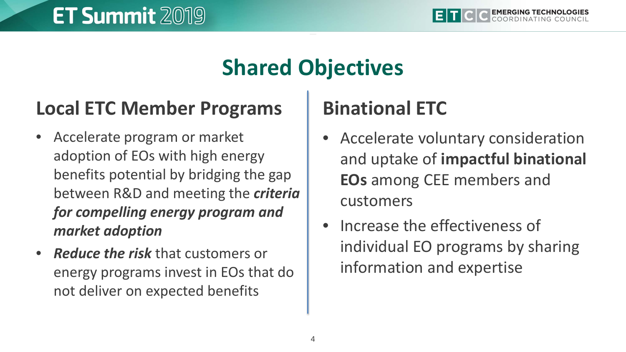#### **Shared Objectives**

#### **Local ETC Member Programs**

- Accelerate program or market adoption of EOs with high energy benefits potential by bridging the gap between R&D and meeting the *criteria for compelling energy program and market adoption*
- *Reduce the risk* that customers or energy programs invest in EOs that do not deliver on expected benefits

#### **Binational ETC**

- Accelerate voluntary consideration and uptake of **impactful binational EOs** among CEE members and customers
- Increase the effectiveness of individual EO programs by sharing information and expertise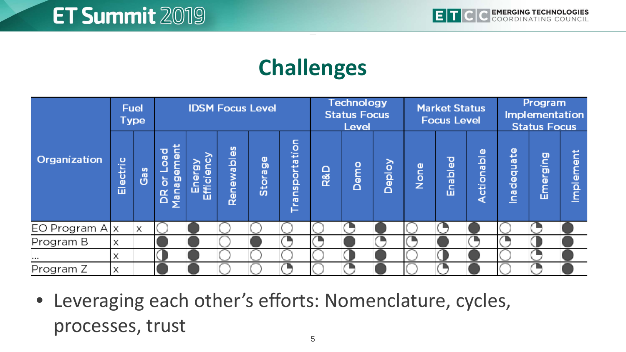#### **Challenges**



• Leveraging each other's efforts: Nomenclature, cycles, processes, trust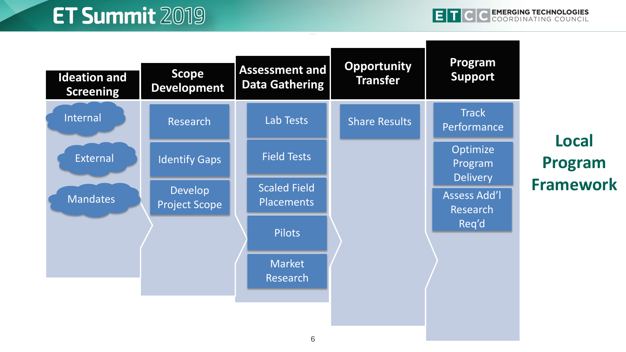| <b>Ideation and</b><br><b>Screening</b> | <b>Scope</b><br><b>Development</b> | <b>Assessment and</b><br><b>Data Gathering</b> | <b>Opportunity</b><br><b>Transfer</b> | Program<br><b>Support</b>              |                         |
|-----------------------------------------|------------------------------------|------------------------------------------------|---------------------------------------|----------------------------------------|-------------------------|
| Internal                                | Research                           | Lab Tests                                      | <b>Share Results</b>                  | <b>Track</b><br>Performance            |                         |
| External                                | <b>Identify Gaps</b>               | <b>Field Tests</b>                             |                                       | Optimize<br>Program<br><b>Delivery</b> | <b>Local</b><br>Program |
| Mandates                                | Develop<br><b>Project Scope</b>    | <b>Scaled Field</b><br><b>Placements</b>       |                                       | <b>Assess Add'l</b><br><b>Research</b> | <b>Framework</b>        |
|                                         |                                    | <b>Pilots</b>                                  |                                       | Req'd                                  |                         |
|                                         |                                    | <b>Market</b><br>Research                      |                                       |                                        |                         |
|                                         |                                    |                                                |                                       |                                        |                         |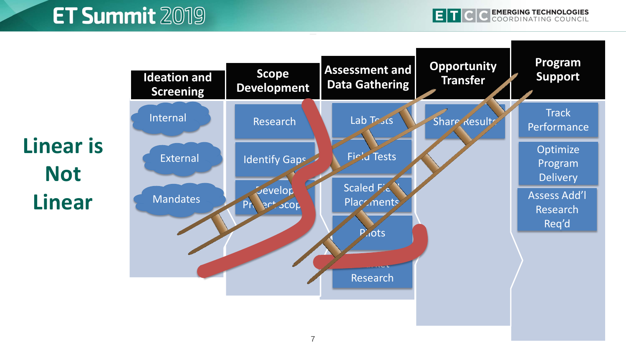C EMERGING TECHNOLOGIES EIT

**Linear is Not Linear**

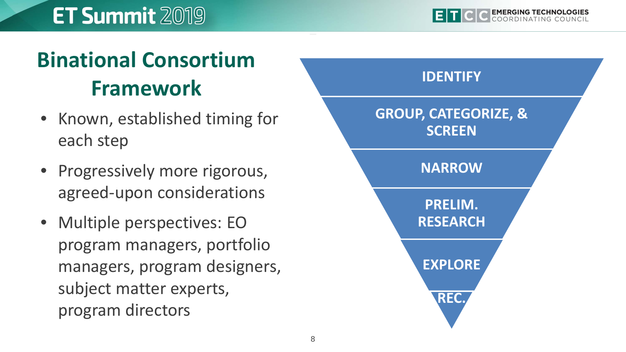## **Binational Consortium Framework**

- Known, established timing for each step
- Progressively more rigorous, agreed-upon considerations
- Multiple perspectives: EO program managers, portfolio managers, program designers, subject matter experts, program directors

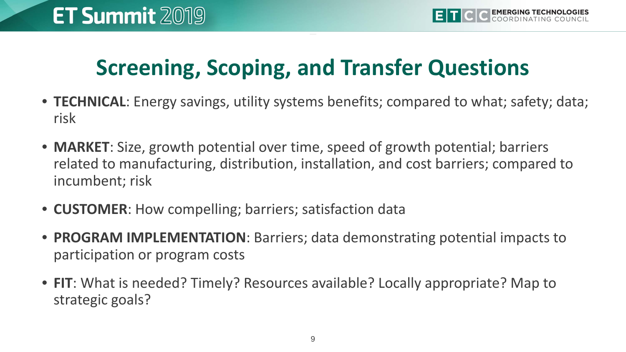#### **Screening, Scoping, and Transfer Questions**

- **TECHNICAL**: Energy savings, utility systems benefits; compared to what; safety; data; risk
- **MARKET**: Size, growth potential over time, speed of growth potential; barriers related to manufacturing, distribution, installation, and cost barriers; compared to incumbent; risk
- **CUSTOMER**: How compelling; barriers; satisfaction data
- **PROGRAM IMPLEMENTATION**: Barriers; data demonstrating potential impacts to participation or program costs
- **FIT**: What is needed? Timely? Resources available? Locally appropriate? Map to strategic goals?